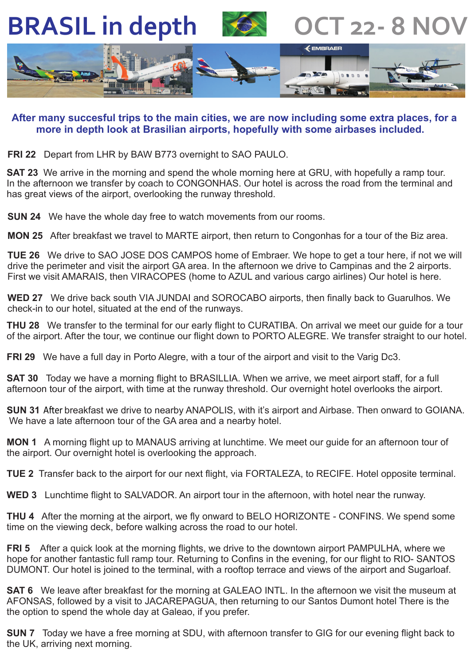**BRASIL in depth**



**OCT 22‐ 8 NOV**



## **After many succesful trips to the main cities, we are now including some extra places, for a more in depth look at Brasilian airports, hopefully with some airbases included.**

**FRI 22** Depart from LHR by BAW B773 overnight to SAO PAULO.

**SAT 23** We arrive in the morning and spend the whole morning here at GRU, with hopefully a ramp tour. In the afternoon we transfer by coach to CONGONHAS. Our hotel is across the road from the terminal and has great views of the airport, overlooking the runway threshold.

**SUN 24** We have the whole day free to watch movements from our rooms.

. **MON 25** After breakfast we travel to MARTE airport, then return to Congonhas for a tour of the Biz area.

**TUE 26** We drive to SAO JOSE DOS CAMPOS home of Embraer. We hope to get a tour here, if not we will drive the perimeter and visit the airport GA area. In the afternoon we drive to Campinas and the 2 airports. First we visit AMARAIS, then VIRACOPES (home to AZUL and various cargo airlines) Our hotel is here.

**WED 27** We drive back south VIA JUNDAI and SOROCABO airports, then finally back to Guarulhos. We check-in to our hotel, situated at the end of the runways.

**THU 28** We transfer to the terminal for our early flight to CURATIBA. On arrival we meet our guide for a tour of the airport. After the tour, we continue our flight down to PORTO ALEGRE. We transfer straight to our hotel.

**FRI 29** We have a full day in Porto Alegre, with a tour of the airport and visit to the Varig Dc3.

**SAT 30** Today we have a morning flight to BRASILLIA. When we arrive, we meet airport staff, for a full afternoon tour of the airport, with time at the runway threshold. Our overnight hotel overlooks the airport.

SUN 31 After breakfast we drive to nearby ANAPOLIS, with it's airport and Airbase. Then onward to GOIANA. We have a late afternoon tour of the GA area and a nearby hotel.

**MON 1** A morning flight up to MANAUS arriving at lunchtime. We meet our guide for an afternoon tour of the airport. Our overnight hotel is overlooking the approach.

**TUE 2** Transfer back to the airport for our next flight, via FORTALEZA, to RECIFE. Hotel opposite terminal.

**WED 3** Lunchtime flight to SALVADOR. An airport tour in the afternoon, with hotel near the runway.

**THU 4** After the morning at the airport, we fly onward to BELO HORIZONTE - CONFINS. We spend some time on the viewing deck, before walking across the road to our hotel.

**FRI 5** After a quick look at the morning flights, we drive to the downtown airport PAMPULHA, where we hope for another fantastic full ramp tour. Returning to Confins in the evening, for our flight to RIO- SANTOS DUMONT. Our hotel is joined to the terminal, with a rooftop terrace and views of the airport and Sugarloaf.

**SAT 6** We leave after breakfast for the morning at GALEAO INTL. In the afternoon we visit the museum at AFONSAS, followed by a visit to JACAREPAGUA, then returning to our Santos Dumont hotel There is the the option to spend the whole day at Galeao, if you prefer.

**SUN 7** Today we have a free morning at SDU, with afternoon transfer to GIG for our evening flight back to the UK, arriving next morning.